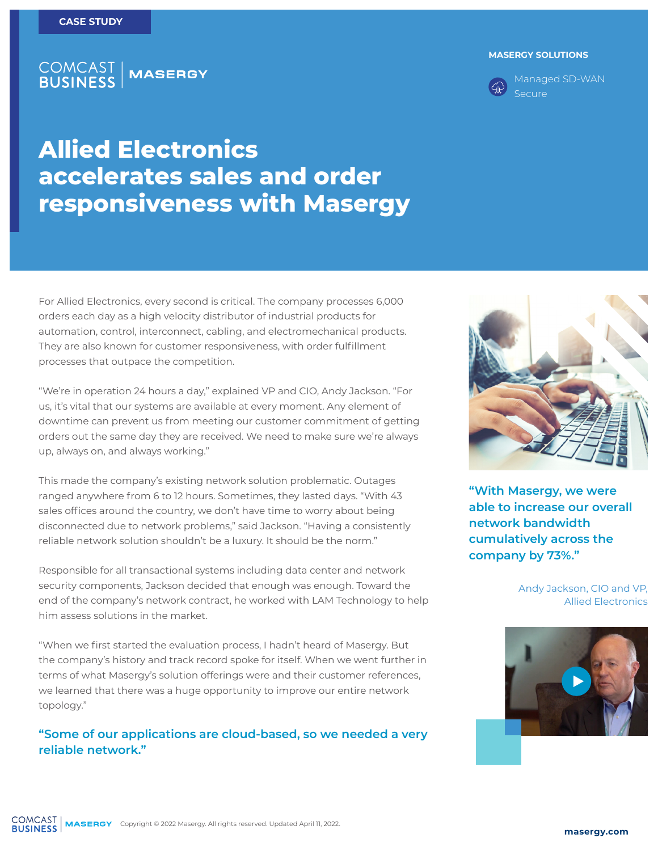### **COMCAST<br>BUSINESS MASERGY**

#### **MASERGY SOLUTIONS**



Managed SD-WAN Secure

# **Allied Electronics accelerates sales and order responsiveness with Masergy**

For Allied Electronics, every second is critical. The company processes 6,000 orders each day as a high velocity distributor of industrial products for automation, control, interconnect, cabling, and electromechanical products. They are also known for customer responsiveness, with order fulfillment processes that outpace the competition.

"We're in operation 24 hours a day," explained VP and CIO, Andy Jackson. "For us, it's vital that our systems are available at every moment. Any element of downtime can prevent us from meeting our customer commitment of getting orders out the same day they are received. We need to make sure we're always up, always on, and always working."

This made the company's existing network solution problematic. Outages ranged anywhere from 6 to 12 hours. Sometimes, they lasted days. "With 43 sales offices around the country, we don't have time to worry about being disconnected due to network problems," said Jackson. "Having a consistently reliable network solution shouldn't be a luxury. It should be the norm."

Responsible for all transactional systems including data center and network security components, Jackson decided that enough was enough. Toward the end of the company's network contract, he worked with LAM Technology to help him assess solutions in the market.

"When we first started the evaluation process, I hadn't heard of Masergy. But the company's history and track record spoke for itself. When we went further in terms of what Masergy's solution offerings were and their customer references, we learned that there was a huge opportunity to improve our entire network topology."

### **"Some of our applications are cloud-based, so we needed a very reliable network."**



**"With Masergy, we were able to increase our overall network bandwidth cumulatively across the company by 73%."**

#### Andy Jackson, CIO and VP, Allied Electronics